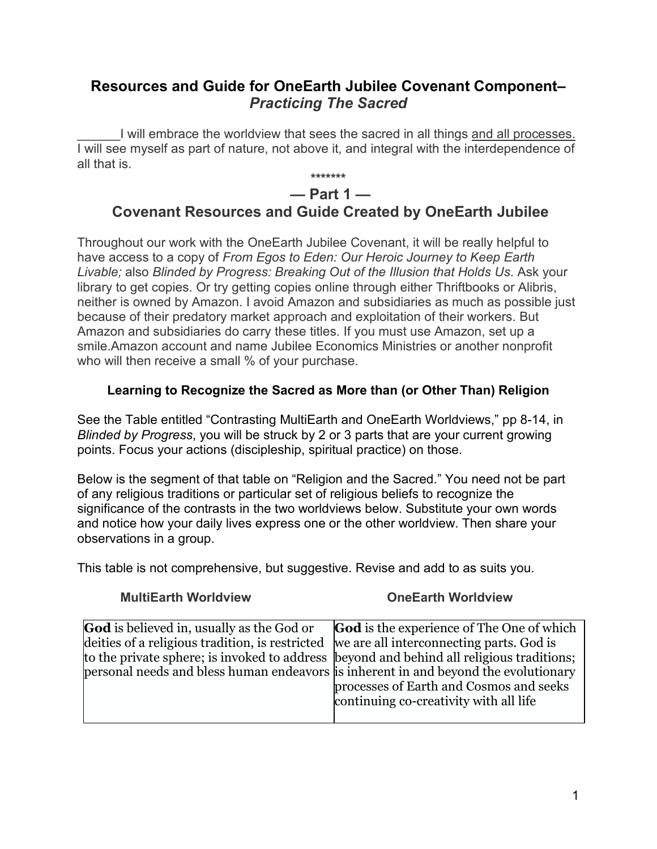# Resources and Guide for OneEarth Jubilee Covenant Component– Practicing The Sacred

I will embrace the worldview that sees the sacred in all things and all processes. I will see myself as part of nature, not above it, and integral with the interdependence of all that is.

# \*\*\*\*\*\*\*  $-$  Part 1 $-$ Covenant Resources and Guide Created by OneEarth Jubilee

Throughout our work with the OneEarth Jubilee Covenant, it will be really helpful to have access to a copy of From Egos to Eden: Our Heroic Journey to Keep Earth Livable; also Blinded by Progress: Breaking Out of the Illusion that Holds Us. Ask your library to get copies. Or try getting copies online through either Thriftbooks or Alibris, neither is owned by Amazon. I avoid Amazon and subsidiaries as much as possible just because of their predatory market approach and exploitation of their workers. But Amazon and subsidiaries do carry these titles. If you must use Amazon, set up a smile.Amazon account and name Jubilee Economics Ministries or another nonprofit who will then receive a small % of your purchase.

# Learning to Recognize the Sacred as More than (or Other Than) Religion

See the Table entitled "Contrasting MultiEarth and OneEarth Worldviews," pp 8-14, in Blinded by Progress, you will be struck by 2 or 3 parts that are your current growing points. Focus your actions (discipleship, spiritual practice) on those.

Below is the segment of that table on "Religion and the Sacred." You need not be part of any religious traditions or particular set of religious beliefs to recognize the significance of the contrasts in the two worldviews below. Substitute your own words and notice how your daily lives express one or the other worldview. Then share your observations in a group.

This table is not comprehensive, but suggestive. Revise and add to as suits you.

MultiEarth Worldview OneEarth Worldview

| <b>God</b> is believed in, usually as the God or<br><b>God</b> is the experience of The One of which<br>deities of a religious tradition, is restricted we are all interconnecting parts. God is<br>to the private sphere; is invoked to address (beyond and behind all religious traditions;<br>personal needs and bless human endeavors is inherent in and beyond the evolutionary<br>processes of Earth and Cosmos and seeks<br>continuing co-creativity with all life |  |
|---------------------------------------------------------------------------------------------------------------------------------------------------------------------------------------------------------------------------------------------------------------------------------------------------------------------------------------------------------------------------------------------------------------------------------------------------------------------------|--|
|---------------------------------------------------------------------------------------------------------------------------------------------------------------------------------------------------------------------------------------------------------------------------------------------------------------------------------------------------------------------------------------------------------------------------------------------------------------------------|--|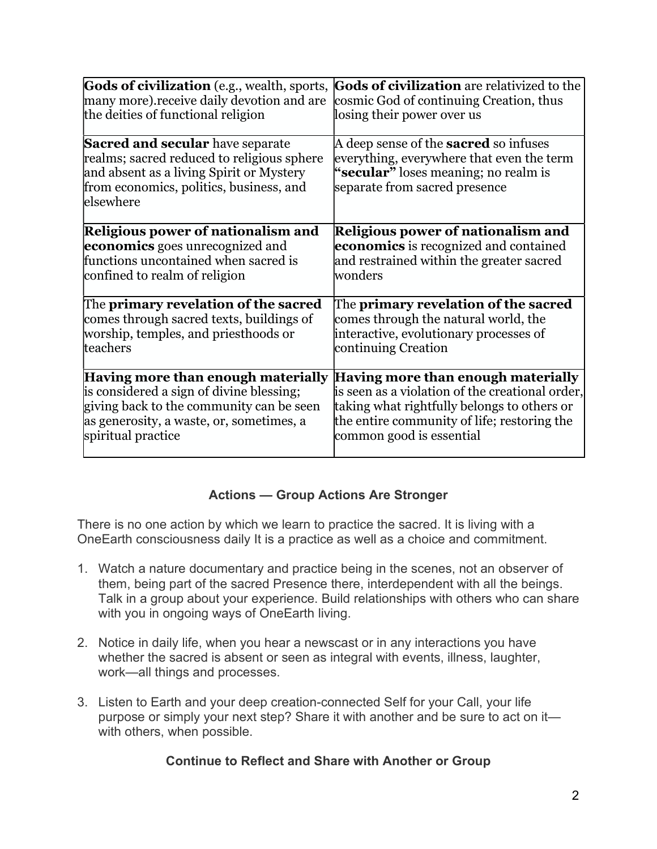# Actions — Group Actions Are Stronger

There is no one action by which we learn to practice the sacred. It is living with a OneEarth consciousness daily It is a practice as well as a choice and commitment.

- 1. Watch a nature documentary and practice being in the scenes, not an observer of them, being part of the sacred Presence there, interdependent with all the beings. Talk in a group about your experience. Build relationships with others who can share with you in ongoing ways of OneEarth living.
- 2. Notice in daily life, when you hear a newscast or in any interactions you have whether the sacred is absent or seen as integral with events, illness, laughter, work—all things and processes.
- 3. Listen to Earth and your deep creation-connected Self for your Call, your life purpose or simply your next step? Share it with another and be sure to act on it with others, when possible.

## Continue to Reflect and Share with Another or Group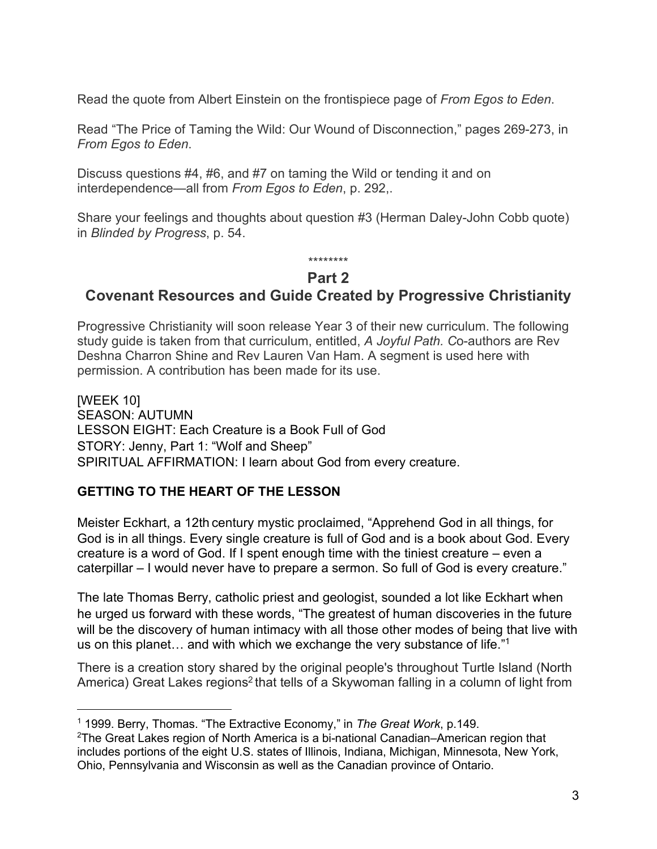Read the quote from Albert Einstein on the frontispiece page of *From Egos to Eden*.<br>Read "The Price of Taming the Wild: Our Wound of Disconnection," pages 269-273, in From Egos to Eden.<br>Discuss questions #4, #6, and #7 on taming the Wild or tending it and on

interdependence—all from From Egos to Eden, p. 292,.

Share your feelings and thoughts about question #3 (Herman Daley-John Cobb quote) in Blinded by Progress, p. 54.

#### \*\*\*\*\*\*\*\* Part 2

# Covenant Resources and Guide Created by Progressive Christianity

Progressive Christianity will soon release Year 3 of their new curriculum. The following study guide is taken from that curriculum, entitled, A Joyful Path. Co-authors are Rev Deshna Charron Shine and Rev Lauren Van Ham. A segment is used here with permission. A contribution has been made for its use.

[WEEK 10] SEASON: AUTUMN LESSON EIGHT: Each Creature is a Book Full of God STORY: Jenny, Part 1: "Wolf and Sheep" SPIRITUAL AFFIRMATION: I learn about God from every creature.

## GETTING TO THE HEART OF THE LESSON

Meister Eckhart, a 12th century mystic proclaimed, "Apprehend God in all things, for God is in all things. Every single creature is full of God and is a book about God. Every creature is a word of God. If I spent enough time with the tiniest creature – even a caterpillar – I would never have to prepare a sermon. So full of God is every creature."

The late Thomas Berry, catholic priest and geologist, sounded a lot like Eckhart when he urged us forward with these words, "The greatest of human discoveries in the future will be the discovery of human intimacy with all those other modes of being that live with us on this planet… and with which we exchange the very substance of life."1

There is a creation story shared by the original people's throughout Turtle Island (North America) Great Lakes regions<sup>2</sup> that tells of a Skywoman falling in a column of light from

<sup>&</sup>lt;sup>1</sup> 1999. Berry, Thomas. "The Extractive Economy," in *The Great Work*, p.149.

<sup>2</sup>The Great Lakes region of North America is a bi-national Canadian–American region that includes portions of the eight U.S. states of Illinois, Indiana, Michigan, Minnesota, New York, Ohio, Pennsylvania and Wisconsin as well as the Canadian province of Ontario.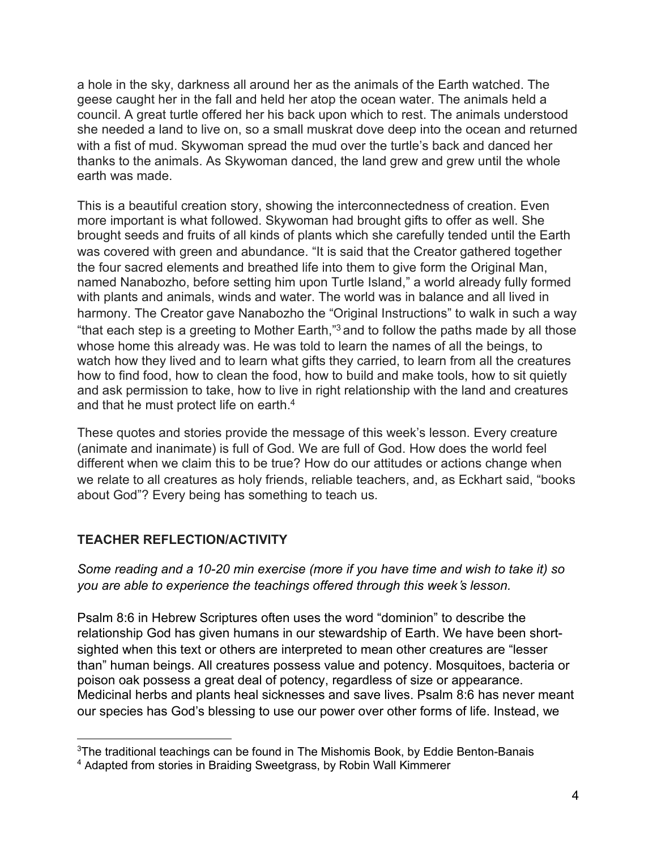a hole in the sky, darkness all around her as the animals of the Earth watched. The geese caught her in the fall and held her atop the ocean water. The animals held a council. A great turtle offered her his back upon which to rest. The animals understood she needed a land to live on, so a small muskrat dove deep into the ocean and returned with a fist of mud. Skywoman spread the mud over the turtle's back and danced her thanks to the animals. As Skywoman danced, the land grew and grew until the whole earth was made.

This is a beautiful creation story, showing the interconnectedness of creation. Even more important is what followed. Skywoman had brought gifts to offer as well. She brought seeds and fruits of all kinds of plants which she carefully tended until the Earth was covered with green and abundance. "It is said that the Creator gathered together the four sacred elements and breathed life into them to give form the Original Man, named Nanabozho, before setting him upon Turtle Island," a world already fully formed with plants and animals, winds and water. The world was in balance and all lived in harmony. The Creator gave Nanabozho the "Original Instructions" to walk in such a way "that each step is a greeting to Mother Earth," $^3$  and to follow the paths made by all those  $\,$ whose home this already was. He was told to learn the names of all the beings, to watch how they lived and to learn what gifts they carried, to learn from all the creatures how to find food, how to clean the food, how to build and make tools, how to sit quietly and ask permission to take, how to live in right relationship with the land and creatures and that he must protect life on earth.4

These quotes and stories provide the message of this week's lesson. Every creature (animate and inanimate) is full of God. We are full of God. How does the world feel different when we claim this to be true? How do our attitudes or actions change when we relate to all creatures as holy friends, reliable teachers, and, as Eckhart said, "books about God"? Every being has something to teach us.

# TEACHER REFLECTION/ACTIVITY

Some reading and a 10-20 min exercise (more if you have time and wish to take it) so you are able to experience the teachings offered through this week's lesson.

Psalm 8:6 in Hebrew Scriptures often uses the word "dominion" to describe the relationship God has given humans in our stewardship of Earth. We have been shortsighted when this text or others are interpreted to mean other creatures are "lesser than" human beings. All creatures possess value and potency. Mosquitoes, bacteria or poison oak possess a great deal of potency, regardless of size or appearance. Medicinal herbs and plants heal sicknesses and save lives. Psalm 8:6 has never meant our species has God's blessing to use our power over other forms of life. Instead, we

<sup>&</sup>lt;sup>3</sup>The traditional teachings can be found in The Mishomis Book, by Eddie Benton-Banais

<sup>4</sup> Adapted from stories in Braiding Sweetgrass, by Robin Wall Kimmerer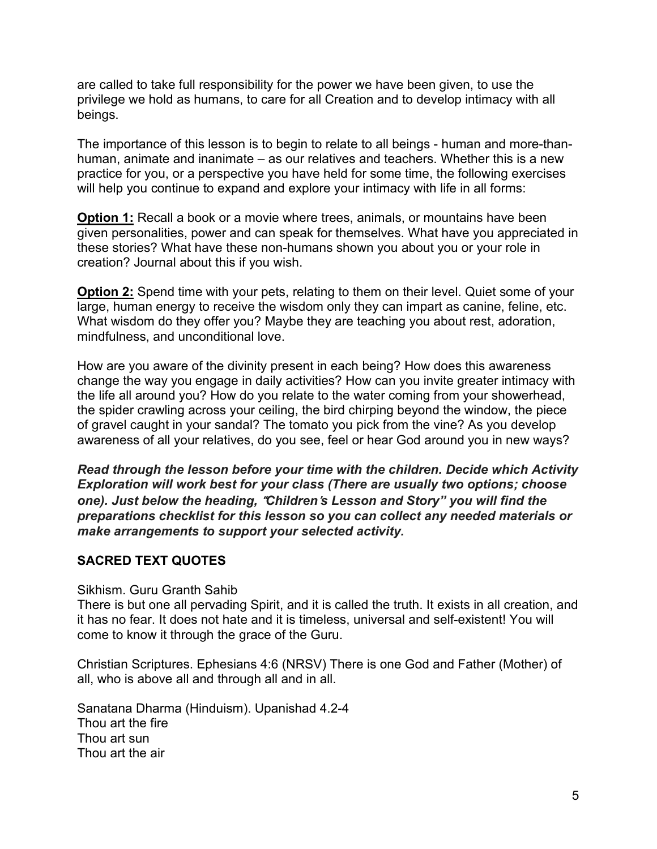are called to take full responsibility for the power we have been given, to use the privilege we hold as humans, to care for all Creation and to develop intimacy with all beings.

The importance of this lesson is to begin to relate to all beings - human and more-thanhuman, animate and inanimate – as our relatives and teachers. Whether this is a new practice for you, or a perspective you have held for some time, the following exercises will help you continue to expand and explore your intimacy with life in all forms:

**Option 1:** Recall a book or a movie where trees, animals, or mountains have been given personalities, power and can speak for themselves. What have you appreciated in these stories? What have these non-humans shown you about you or your role in creation? Journal about this if you wish.

**Option 2:** Spend time with your pets, relating to them on their level. Quiet some of your large, human energy to receive the wisdom only they can impart as canine, feline, etc. What wisdom do they offer you? Maybe they are teaching you about rest, adoration, mindfulness, and unconditional love.

How are you aware of the divinity present in each being? How does this awareness change the way you engage in daily activities? How can you invite greater intimacy with the life all around you? How do you relate to the water coming from your showerhead, the spider crawling across your ceiling, the bird chirping beyond the window, the piece of gravel caught in your sandal? The tomato you pick from the vine? As you develop awareness of all your relatives, do you see, feel or hear God around you in new ways?

Read through the lesson before your time with the children. Decide which Activity Exploration will work best for your class (There are usually two options; choose one). Just below the heading, "Children's Lesson and Story" you will find the preparations checklist for this lesson so you can collect any needed materials or make arrangements to support your selected activity.

## SACRED TEXT QUOTES

#### Sikhism. Guru Granth Sahib

There is but one all pervading Spirit, and it is called the truth. It exists in all creation, and it has no fear. It does not hate and it is timeless, universal and self-existent! You will come to know it through the grace of the Guru.

Christian Scriptures. Ephesians 4:6 (NRSV) There is one God and Father (Mother) of all, who is above all and through all and in all.

Sanatana Dharma (Hinduism). Upanishad 4.2-4 Thou art the fire Thou art sun Thou art the air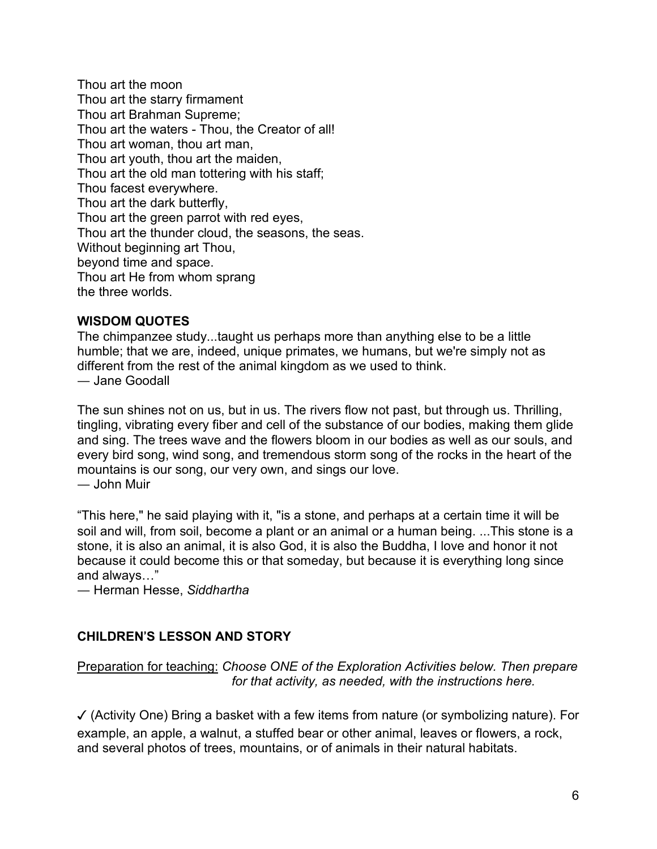Thou art the moon Thou art the starry firmament Thou art Brahman Supreme; Thou art the waters - Thou, the Creator of all! Thou art woman, thou art man, Thou art youth, thou art the maiden, Thou art the old man tottering with his staff; Thou facest everywhere. Thou art the dark butterfly, Thou art the green parrot with red eyes, Thou art the thunder cloud, the seasons, the seas. Without beginning art Thou, beyond time and space. Thou art He from whom sprang the three worlds.

#### WISDOM QUOTES

The chimpanzee study...taught us perhaps more than anything else to be a little humble; that we are, indeed, unique primates, we humans, but we're simply not as different from the rest of the animal kingdom as we used to think. ― Jane Goodall

The sun shines not on us, but in us. The rivers flow not past, but through us. Thrilling, tingling, vibrating every fiber and cell of the substance of our bodies, making them glide and sing. The trees wave and the flowers bloom in our bodies as well as our souls, and every bird song, wind song, and tremendous storm song of the rocks in the heart of the mountains is our song, our very own, and sings our love.<br>— John Muir

"This here," he said playing with it, "is a stone, and perhaps at a certain time it will be soil and will, from soil, become a plant or an animal or a human being. ...This stone is a stone, it is also an animal, it is also God, it is also the Buddha, I love and honor it not because it could become this or that someday, but because it is everything long since and always…"<br>— Herman Hesse, Siddhartha

# CHILDREN'S LESSON AND STORY

Preparation for teaching: Choose ONE of the Exploration Activities below. Then prepare for that activity, as needed, with the instructions here.

✓ (Activity One) Bring a basket with a few items from nature (or symbolizing nature). For example, an apple, a walnut, a stuffed bear or other animal, leaves or flowers, a rock, and several photos of trees, mountains, or of animals in their natural habitats.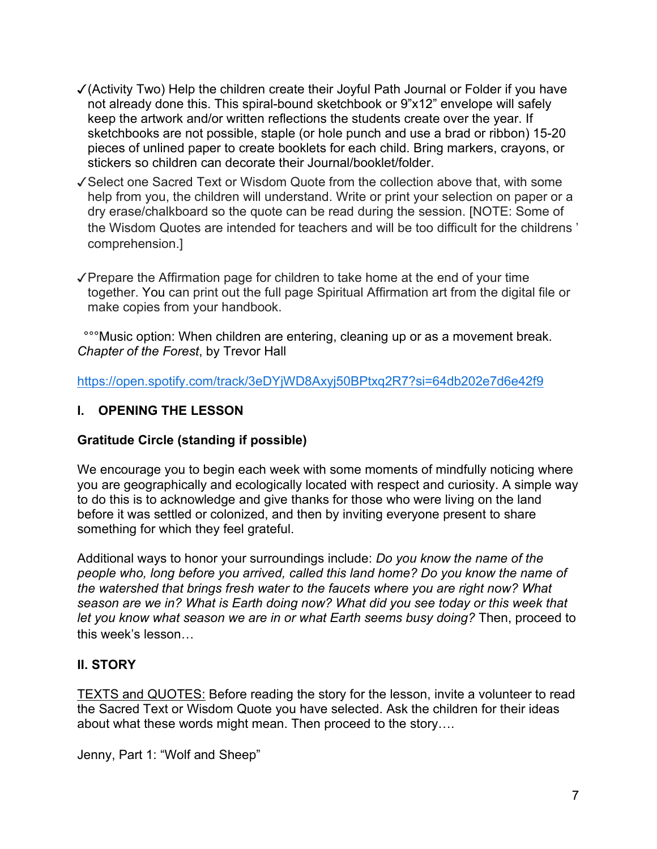- ✓(Activity Two) Help the children create their Joyful Path Journal or Folder if you have not already done this. This spiral-bound sketchbook or 9"x12" envelope will safely keep the artwork and/or written reflections the students create over the year. If sketchbooks are not possible, staple (or hole punch and use a brad or ribbon) 15-20 pieces of unlined paper to create booklets for each child. Bring markers, crayons, or stickers so children can decorate their Journal/booklet/folder.
- ✓Select one Sacred Text or Wisdom Quote from the collection above that, with some help from you, the children will understand. Write or print your selection on paper or a dry erase/chalkboard so the quote can be read during the session. [NOTE: Some of the Wisdom Quotes are intended for teachers and will be too difficult for the childrens ' comprehension.]
- ✓Prepare the Affirmation page for children to take home at the end of your time together. You can print out the full page Spiritual Affirmation art from the digital file or make copies from your handbook.

 °°°Music option: When children are entering, cleaning up or as a movement break. Chapter of the Forest, by Trevor Hall

https://open.spotify.com/track/3eDYjWD8Axyj50BPtxq2R7?si=64db202e7d6e42f9

# I. OPENING THE LESSON

## Gratitude Circle (standing if possible)

We encourage you to begin each week with some moments of mindfully noticing where you are geographically and ecologically located with respect and curiosity. A simple way to do this is to acknowledge and give thanks for those who were living on the land before it was settled or colonized, and then by inviting everyone present to share something for which they feel grateful.

Additional ways to honor your surroundings include: Do you know the name of the people who, long before you arrived, called this land home? Do you know the name of the watershed that brings fresh water to the faucets where you are right now? What season are we in? What is Earth doing now? What did you see today or this week that let you know what season we are in or what Earth seems busy doing? Then, proceed to this week's lesson…

## II. STORY

TEXTS and QUOTES: Before reading the story for the lesson, invite a volunteer to read the Sacred Text or Wisdom Quote you have selected. Ask the children for their ideas about what these words might mean. Then proceed to the story….

Jenny, Part 1: "Wolf and Sheep"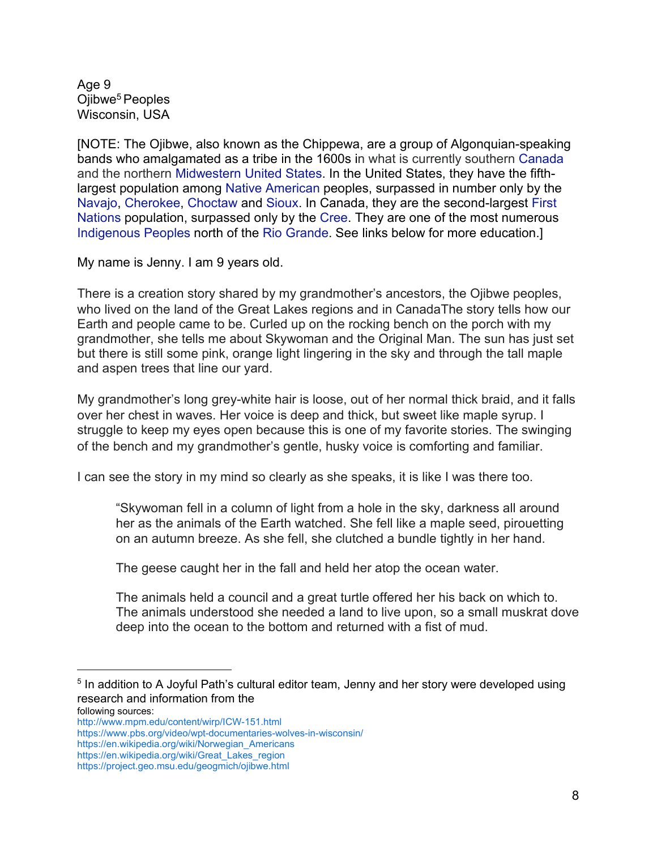Age 9 Ojibwe<sup>5</sup> Peoples Wisconsin, USA

[NOTE: The Ojibwe, also known as the Chippewa, are a group of Algonquian-speaking bands who amalgamated as a tribe in the 1600s in what is currently southern Canada and the northern Midwestern United States. In the United States, they have the fifthlargest population among Native American peoples, surpassed in number only by the Navajo, Cherokee, Choctaw and Sioux. In Canada, they are the second-largest First Nations population, surpassed only by the Cree. They are one of the most numerous Indigenous Peoples north of the Rio Grande. See links below for more education.]

My name is Jenny. I am 9 years old.

There is a creation story shared by my grandmother's ancestors, the Ojibwe peoples, who lived on the land of the Great Lakes regions and in CanadaThe story tells how our Earth and people came to be. Curled up on the rocking bench on the porch with my grandmother, she tells me about Skywoman and the Original Man. The sun has just set but there is still some pink, orange light lingering in the sky and through the tall maple and aspen trees that line our yard.

My grandmother's long grey-white hair is loose, out of her normal thick braid, and it falls over her chest in waves. Her voice is deep and thick, but sweet like maple syrup. I struggle to keep my eyes open because this is one of my favorite stories. The swinging of the bench and my grandmother's gentle, husky voice is comforting and familiar.

I can see the story in my mind so clearly as she speaks, it is like I was there too.

"Skywoman fell in a column of light from a hole in the sky, darkness all around her as the animals of the Earth watched. She fell like a maple seed, pirouetting on an autumn breeze. As she fell, she clutched a bundle tightly in her hand.

The geese caught her in the fall and held her atop the ocean water.

The animals held a council and a great turtle offered her his back on which to. The animals understood she needed a land to live upon, so a small muskrat dove deep into the ocean to the bottom and returned with a fist of mud.

 $^{\rm 5}$  In addition to A Joyful Path's cultural editor team, Jenny and her story were developed using research and information from the following sources:

http://www.mpm.edu/content/wirp/ICW-151.html

https://www.pbs.org/video/wpt-documentaries-wolves-in-wisconsin/

https://en.wikipedia.org/wiki/Norwegian\_Americans

https://en.wikipedia.org/wiki/Great\_Lakes\_region

https://project.geo.msu.edu/geogmich/ojibwe.html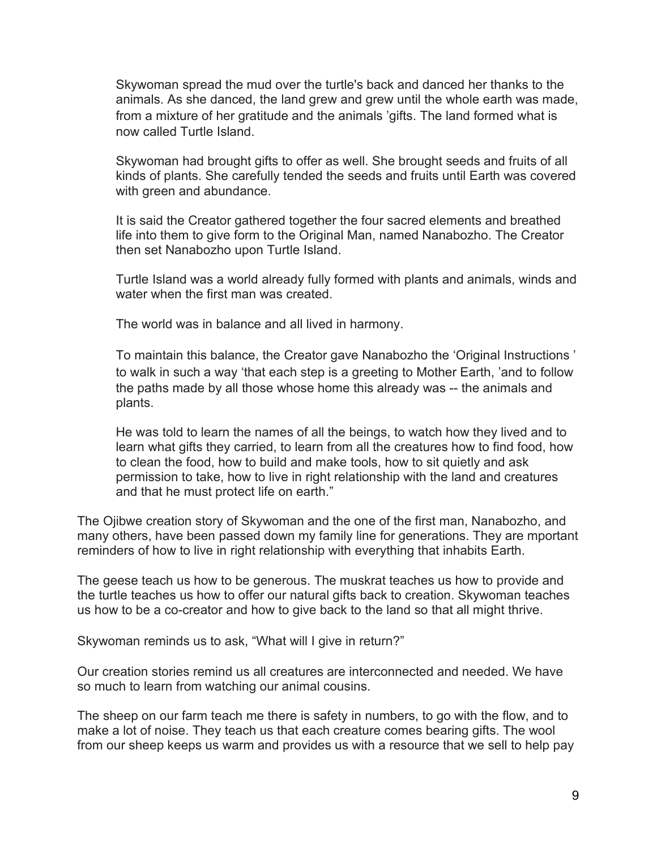Skywoman spread the mud over the turtle's back and danced her thanks to the animals. As she danced, the land grew and grew until the whole earth was made, from a mixture of her gratitude and the animals 'gifts. The land formed what is now called Turtle Island.

Skywoman had brought gifts to offer as well. She brought seeds and fruits of all kinds of plants. She carefully tended the seeds and fruits until Earth was covered with green and abundance.

It is said the Creator gathered together the four sacred elements and breathed life into them to give form to the Original Man, named Nanabozho. The Creator then set Nanabozho upon Turtle Island.

Turtle Island was a world already fully formed with plants and animals, winds and water when the first man was created.

The world was in balance and all lived in harmony.

To maintain this balance, the Creator gave Nanabozho the 'Original Instructions ' to walk in such a way 'that each step is a greeting to Mother Earth, 'and to follow the paths made by all those whose home this already was -- the animals and plants.

He was told to learn the names of all the beings, to watch how they lived and to learn what gifts they carried, to learn from all the creatures how to find food, how to clean the food, how to build and make tools, how to sit quietly and ask permission to take, how to live in right relationship with the land and creatures and that he must protect life on earth."

The Ojibwe creation story of Skywoman and the one of the first man, Nanabozho, and many others, have been passed down my family line for generations. They are mportant reminders of how to live in right relationship with everything that inhabits Earth.

The geese teach us how to be generous. The muskrat teaches us how to provide and the turtle teaches us how to offer our natural gifts back to creation. Skywoman teaches us how to be a co-creator and how to give back to the land so that all might thrive.

Skywoman reminds us to ask, "What will I give in return?"

Our creation stories remind us all creatures are interconnected and needed. We have so much to learn from watching our animal cousins.

The sheep on our farm teach me there is safety in numbers, to go with the flow, and to make a lot of noise. They teach us that each creature comes bearing gifts. The wool from our sheep keeps us warm and provides us with a resource that we sell to help pay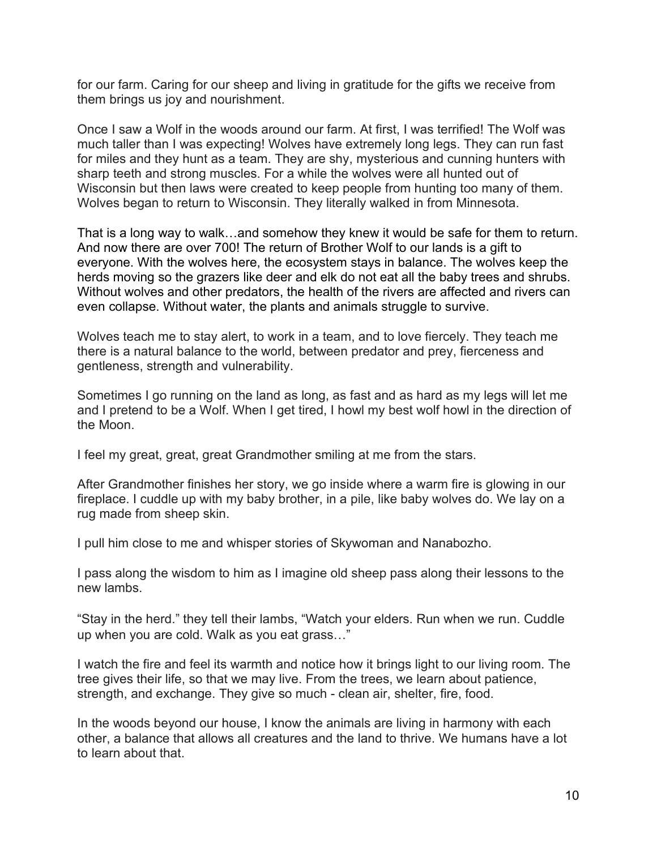for our farm. Caring for our sheep and living in gratitude for the gifts we receive from them brings us joy and nourishment.

Once I saw a Wolf in the woods around our farm. At first, I was terrified! The Wolf was much taller than I was expecting! Wolves have extremely long legs. They can run fast for miles and they hunt as a team. They are shy, mysterious and cunning hunters with sharp teeth and strong muscles. For a while the wolves were all hunted out of Wisconsin but then laws were created to keep people from hunting too many of them. Wolves began to return to Wisconsin. They literally walked in from Minnesota.

That is a long way to walk…and somehow they knew it would be safe for them to return. And now there are over 700! The return of Brother Wolf to our lands is a gift to everyone. With the wolves here, the ecosystem stays in balance. The wolves keep the herds moving so the grazers like deer and elk do not eat all the baby trees and shrubs. Without wolves and other predators, the health of the rivers are affected and rivers can even collapse. Without water, the plants and animals struggle to survive.

Wolves teach me to stay alert, to work in a team, and to love fiercely. They teach me there is a natural balance to the world, between predator and prey, fierceness and gentleness, strength and vulnerability.

Sometimes I go running on the land as long, as fast and as hard as my legs will let me and I pretend to be a Wolf. When I get tired, I howl my best wolf howl in the direction of the Moon.

I feel my great, great, great Grandmother smiling at me from the stars.

After Grandmother finishes her story, we go inside where a warm fire is glowing in our fireplace. I cuddle up with my baby brother, in a pile, like baby wolves do. We lay on a rug made from sheep skin.

I pull him close to me and whisper stories of Skywoman and Nanabozho.

I pass along the wisdom to him as I imagine old sheep pass along their lessons to the new lambs.

"Stay in the herd." they tell their lambs, "Watch your elders. Run when we run. Cuddle up when you are cold. Walk as you eat grass…"

I watch the fire and feel its warmth and notice how it brings light to our living room. The tree gives their life, so that we may live. From the trees, we learn about patience, strength, and exchange. They give so much - clean air, shelter, fire, food.

In the woods beyond our house, I know the animals are living in harmony with each other, a balance that allows all creatures and the land to thrive. We humans have a lot to learn about that.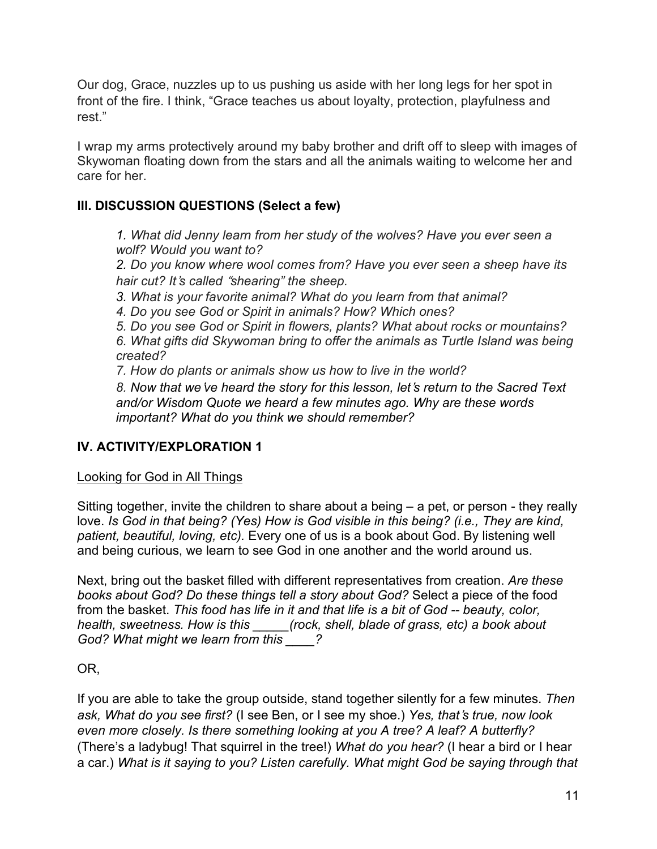Our dog, Grace, nuzzles up to us pushing us aside with her long legs for her spot in front of the fire. I think, "Grace teaches us about loyalty, protection, playfulness and rest."

I wrap my arms protectively around my baby brother and drift off to sleep with images of Skywoman floating down from the stars and all the animals waiting to welcome her and care for her.

# III. DISCUSSION QUESTIONS (Select a few)

1. What did Jenny learn from her study of the wolves? Have you ever seen a wolf? Would you want to?

2. Do you know where wool comes from? Have you ever seen a sheep have its hair cut? It's called "shearing" the sheep.

3. What is your favorite animal? What do you learn from that animal?

4. Do you see God or Spirit in animals? How? Which ones?

5. Do you see God or Spirit in flowers, plants? What about rocks or mountains? 6. What gifts did Skywoman bring to offer the animals as Turtle Island was being created?

7. How do plants or animals show us how to live in the world?

8. Now that we've heard the story for this lesson, let's return to the Sacred Text and/or Wisdom Quote we heard a few minutes ago. Why are these words important? What do you think we should remember?

# IV. ACTIVITY/EXPLORATION 1

## Looking for God in All Things

Sitting together, invite the children to share about a being – a pet, or person - they really love. Is God in that being? (Yes) How is God visible in this being? (i.e., They are kind, patient, beautiful, loving, etc). Every one of us is a book about God. By listening well and being curious, we learn to see God in one another and the world around us.

Next, bring out the basket filled with different representatives from creation. Are these books about God? Do these things tell a story about God? Select a piece of the food from the basket. This food has life in it and that life is a bit of God -- beauty, color, health, sweetness. How is this \_\_\_\_\_(rock, shell, blade of grass, etc) a book about God? What might we learn from this \_\_\_\_?

OR,

If you are able to take the group outside, stand together silently for a few minutes. Then ask, What do you see first? (I see Ben, or I see my shoe.) Yes, that's true, now look even more closely. Is there something looking at you A tree? A leaf? A butterfly? (There's a ladybug! That squirrel in the tree!) What do you hear? (I hear a bird or I hear a car.) What is it saying to you? Listen carefully. What might God be saying through that